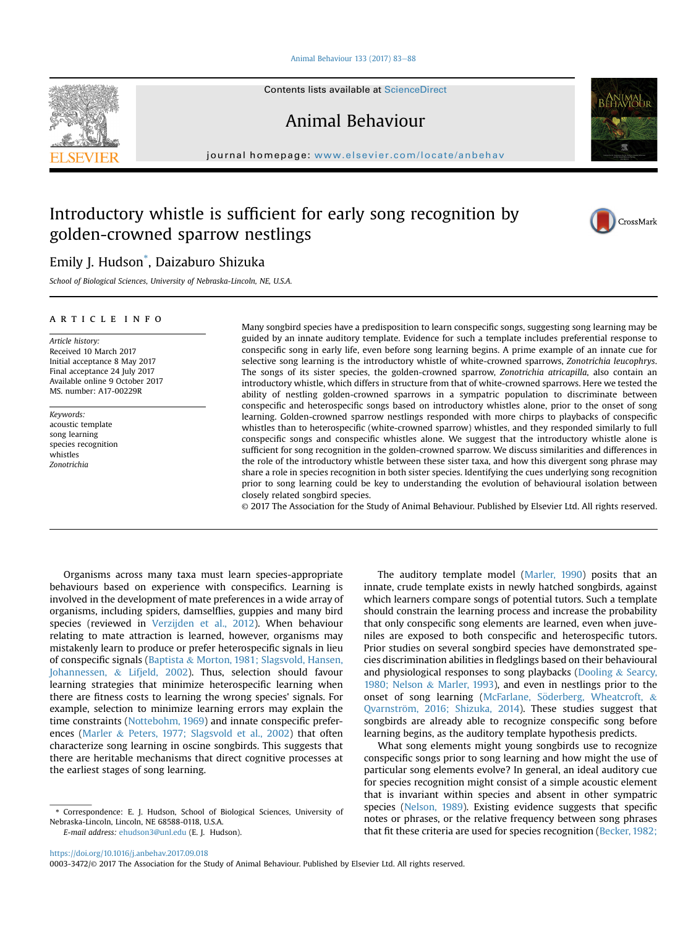#### [Animal Behaviour 133 \(2017\) 83](https://doi.org/10.1016/j.anbehav.2017.09.018)-[88](https://doi.org/10.1016/j.anbehav.2017.09.018)

Contents lists available at ScienceDirect

Animal Behaviour

journal homepage: [www.elsevier.com/locate/anbehav](http://www.elsevier.com/locate/anbehav)

# Introductory whistle is sufficient for early song recognition by golden-crowned sparrow nestlings



# Emily J. Hudson\* , Daizaburo Shizuka

School of Biological Sciences, University of Nebraska-Lincoln, NE, U.S.A.

### article info

Article history: Received 10 March 2017 Initial acceptance 8 May 2017 Final acceptance 24 July 2017 Available online 9 October 2017 MS. number: A17-00229R

Keywords: acoustic template song learning species recognition whistles Zonotrichia

Many songbird species have a predisposition to learn conspecific songs, suggesting song learning may be guided by an innate auditory template. Evidence for such a template includes preferential response to conspecific song in early life, even before song learning begins. A prime example of an innate cue for selective song learning is the introductory whistle of white-crowned sparrows, Zonotrichia leucophrys. The songs of its sister species, the golden-crowned sparrow, Zonotrichia atricapilla, also contain an introductory whistle, which differs in structure from that of white-crowned sparrows. Here we tested the ability of nestling golden-crowned sparrows in a sympatric population to discriminate between conspecific and heterospecific songs based on introductory whistles alone, prior to the onset of song learning. Golden-crowned sparrow nestlings responded with more chirps to playbacks of conspecific whistles than to heterospecific (white-crowned sparrow) whistles, and they responded similarly to full conspecific songs and conspecific whistles alone. We suggest that the introductory whistle alone is sufficient for song recognition in the golden-crowned sparrow. We discuss similarities and differences in the role of the introductory whistle between these sister taxa, and how this divergent song phrase may share a role in species recognition in both sister species. Identifying the cues underlying song recognition prior to song learning could be key to understanding the evolution of behavioural isolation between closely related songbird species.

© 2017 The Association for the Study of Animal Behaviour. Published by Elsevier Ltd. All rights reserved.

Organisms across many taxa must learn species-appropriate behaviours based on experience with conspecifics. Learning is involved in the development of mate preferences in a wide array of organisms, including spiders, damselflies, guppies and many bird species (reviewed in [Verzijden et al., 2012\)](#page-5-0). When behaviour relating to mate attraction is learned, however, organisms may mistakenly learn to produce or prefer heterospecific signals in lieu of conspecific signals [\(Baptista](#page-5-0) & [Morton, 1981; Slagsvold, Hansen,](#page-5-0) [Johannessen,](#page-5-0) & [Lifjeld, 2002\)](#page-5-0). Thus, selection should favour learning strategies that minimize heterospecific learning when there are fitness costs to learning the wrong species' signals. For example, selection to minimize learning errors may explain the time constraints ([Nottebohm, 1969\)](#page-5-0) and innate conspecific preferences ([Marler](#page-5-0) & [Peters, 1977; Slagsvold et al., 2002\)](#page-5-0) that often characterize song learning in oscine songbirds. This suggests that there are heritable mechanisms that direct cognitive processes at the earliest stages of song learning.

E-mail address: [ehudson3@unl.edu](mailto:ehudson3@unl.edu) (E. J. Hudson).

The auditory template model [\(Marler, 1990](#page-5-0)) posits that an innate, crude template exists in newly hatched songbirds, against which learners compare songs of potential tutors. Such a template should constrain the learning process and increase the probability that only conspecific song elements are learned, even when juveniles are exposed to both conspecific and heterospecific tutors. Prior studies on several songbird species have demonstrated species discrimination abilities in fledglings based on their behavioural and physiological responses to song playbacks ([Dooling](#page-5-0) & [Searcy,](#page-5-0) [1980; Nelson](#page-5-0) & [Marler, 1993\)](#page-5-0), and even in nestlings prior to the onset of song learning ([McFarlane, S](#page-5-0)ö[derberg, Wheatcroft,](#page-5-0)  $\&$ [Qvarnstr](#page-5-0)ö[m, 2016; Shizuka, 2014](#page-5-0)). These studies suggest that songbirds are already able to recognize conspecific song before learning begins, as the auditory template hypothesis predicts.

What song elements might young songbirds use to recognize conspecific songs prior to song learning and how might the use of particular song elements evolve? In general, an ideal auditory cue for species recognition might consist of a simple acoustic element that is invariant within species and absent in other sympatric species [\(Nelson, 1989](#page-5-0)). Existing evidence suggests that specific notes or phrases, or the relative frequency between song phrases that fit these criteria are used for species recognition [\(Becker, 1982;](#page-5-0)

<https://doi.org/10.1016/j.anbehav.2017.09.018>

0003-3472/© 2017 The Association for the Study of Animal Behaviour. Published by Elsevier Ltd. All rights reserved.



<sup>\*</sup> Correspondence: E. J. Hudson, School of Biological Sciences, University of Nebraska-Lincoln, Lincoln, NE 68588-0118, U.S.A.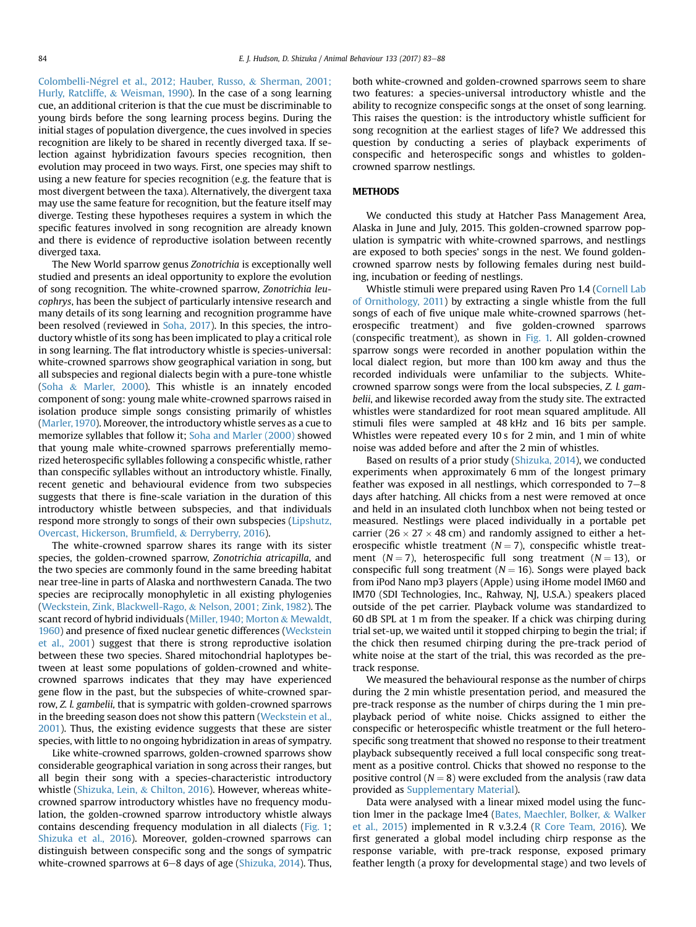<span id="page-1-0"></span>Colombelli-Négrel et al., 2012; Hauber, Russo, & [Sherman, 2001;](#page-5-0) [Hurly, Ratcliffe,](#page-5-0) & [Weisman, 1990\)](#page-5-0). In the case of a song learning cue, an additional criterion is that the cue must be discriminable to young birds before the song learning process begins. During the initial stages of population divergence, the cues involved in species recognition are likely to be shared in recently diverged taxa. If selection against hybridization favours species recognition, then evolution may proceed in two ways. First, one species may shift to using a new feature for species recognition (e.g. the feature that is most divergent between the taxa). Alternatively, the divergent taxa may use the same feature for recognition, but the feature itself may diverge. Testing these hypotheses requires a system in which the specific features involved in song recognition are already known and there is evidence of reproductive isolation between recently diverged taxa.

The New World sparrow genus Zonotrichia is exceptionally well studied and presents an ideal opportunity to explore the evolution of song recognition. The white-crowned sparrow, Zonotrichia leucophrys, has been the subject of particularly intensive research and many details of its song learning and recognition programme have been resolved (reviewed in [Soha, 2017](#page-5-0)). In this species, the introductory whistle of its song has been implicated to play a critical role in song learning. The flat introductory whistle is species-universal: white-crowned sparrows show geographical variation in song, but all subspecies and regional dialects begin with a pure-tone whistle ([Soha](#page-5-0) & [Marler, 2000\)](#page-5-0). This whistle is an innately encoded component of song: young male white-crowned sparrows raised in isolation produce simple songs consisting primarily of whistles ([Marler, 1970\)](#page-5-0). Moreover, the introductory whistle serves as a cue to memorize syllables that follow it; [Soha and Marler \(2000\)](#page-5-0) showed that young male white-crowned sparrows preferentially memorized heterospecific syllables following a conspecific whistle, rather than conspecific syllables without an introductory whistle. Finally, recent genetic and behavioural evidence from two subspecies suggests that there is fine-scale variation in the duration of this introductory whistle between subspecies, and that individuals respond more strongly to songs of their own subspecies ([Lipshutz,](#page-5-0) [Overcast, Hickerson, Brum](#page-5-0)field, & [Derryberry, 2016\)](#page-5-0).

The white-crowned sparrow shares its range with its sister species, the golden-crowned sparrow, Zonotrichia atricapilla, and the two species are commonly found in the same breeding habitat near tree-line in parts of Alaska and northwestern Canada. The two species are reciprocally monophyletic in all existing phylogenies ([Weckstein, Zink, Blackwell-Rago,](#page-5-0) & [Nelson, 2001; Zink, 1982\)](#page-5-0). The scant record of hybrid individuals [\(Miller, 1940; Morton](#page-5-0) & [Mewaldt,](#page-5-0) [1960](#page-5-0)) and presence of fixed nuclear genetic differences ([Weckstein](#page-5-0) [et al., 2001\)](#page-5-0) suggest that there is strong reproductive isolation between these two species. Shared mitochondrial haplotypes between at least some populations of golden-crowned and whitecrowned sparrows indicates that they may have experienced gene flow in the past, but the subspecies of white-crowned sparrow, Z. l. gambelii, that is sympatric with golden-crowned sparrows in the breeding season does not show this pattern [\(Weckstein et al.,](#page-5-0) [2001\)](#page-5-0). Thus, the existing evidence suggests that these are sister species, with little to no ongoing hybridization in areas of sympatry.

Like white-crowned sparrows, golden-crowned sparrows show considerable geographical variation in song across their ranges, but all begin their song with a species-characteristic introductory whistle [\(Shizuka, Lein,](#page-5-0) & [Chilton, 2016](#page-5-0)). However, whereas whitecrowned sparrow introductory whistles have no frequency modulation, the golden-crowned sparrow introductory whistle always contains descending frequency modulation in all dialects ([Fig. 1](#page-2-0); [Shizuka et al., 2016](#page-5-0)). Moreover, golden-crowned sparrows can distinguish between conspecific song and the songs of sympatric white-crowned sparrows at  $6-8$  days of age ([Shizuka, 2014\)](#page-5-0). Thus, both white-crowned and golden-crowned sparrows seem to share two features: a species-universal introductory whistle and the ability to recognize conspecific songs at the onset of song learning. This raises the question: is the introductory whistle sufficient for song recognition at the earliest stages of life? We addressed this question by conducting a series of playback experiments of conspecific and heterospecific songs and whistles to goldencrowned sparrow nestlings.

# **METHODS**

We conducted this study at Hatcher Pass Management Area, Alaska in June and July, 2015. This golden-crowned sparrow population is sympatric with white-crowned sparrows, and nestlings are exposed to both species' songs in the nest. We found goldencrowned sparrow nests by following females during nest building, incubation or feeding of nestlings.

Whistle stimuli were prepared using Raven Pro 1.4 [\(Cornell Lab](#page-5-0) [of Ornithology, 2011](#page-5-0)) by extracting a single whistle from the full songs of each of five unique male white-crowned sparrows (heterospecific treatment) and five golden-crowned sparrows (conspecific treatment), as shown in [Fig. 1.](#page-2-0) All golden-crowned sparrow songs were recorded in another population within the local dialect region, but more than 100 km away and thus the recorded individuals were unfamiliar to the subjects. Whitecrowned sparrow songs were from the local subspecies, Z. l. gambelii, and likewise recorded away from the study site. The extracted whistles were standardized for root mean squared amplitude. All stimuli files were sampled at 48 kHz and 16 bits per sample. Whistles were repeated every 10 s for 2 min, and 1 min of white noise was added before and after the 2 min of whistles.

Based on results of a prior study ([Shizuka, 2014\)](#page-5-0), we conducted experiments when approximately 6 mm of the longest primary feather was exposed in all nestlings, which corresponded to  $7-8$ days after hatching. All chicks from a nest were removed at once and held in an insulated cloth lunchbox when not being tested or measured. Nestlings were placed individually in a portable pet carrier ( $26 \times 27 \times 48$  cm) and randomly assigned to either a heterospecific whistle treatment  $(N = 7)$ , conspecific whistle treatment  $(N = 7)$ , heterospecific full song treatment  $(N = 13)$ , or conspecific full song treatment ( $N = 16$ ). Songs were played back from iPod Nano mp3 players (Apple) using iHome model IM60 and IM70 (SDI Technologies, Inc., Rahway, NJ, U.S.A.) speakers placed outside of the pet carrier. Playback volume was standardized to 60 dB SPL at 1 m from the speaker. If a chick was chirping during trial set-up, we waited until it stopped chirping to begin the trial; if the chick then resumed chirping during the pre-track period of white noise at the start of the trial, this was recorded as the pretrack response.

We measured the behavioural response as the number of chirps during the 2 min whistle presentation period, and measured the pre-track response as the number of chirps during the 1 min preplayback period of white noise. Chicks assigned to either the conspecific or heterospecific whistle treatment or the full heterospecific song treatment that showed no response to their treatment playback subsequently received a full local conspecific song treatment as a positive control. Chicks that showed no response to the positive control ( $N = 8$ ) were excluded from the analysis (raw data provided as Supplementary Material).

Data were analysed with a linear mixed model using the function lmer in the package lme4 ([Bates, Maechler, Bolker,](#page-5-0) & [Walker](#page-5-0) [et al., 2015](#page-5-0)) implemented in R v.3.2.4 ([R Core Team, 2016\)](#page-5-0). We first generated a global model including chirp response as the response variable, with pre-track response, exposed primary feather length (a proxy for developmental stage) and two levels of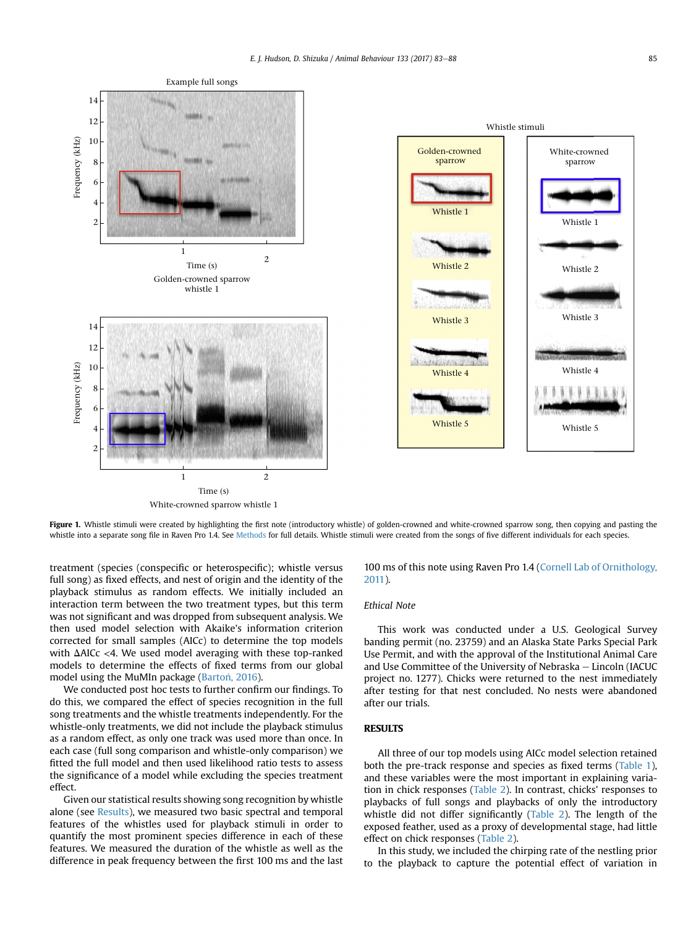<span id="page-2-0"></span>

Figure 1. Whistle stimuli were created by highlighting the first note (introductory whistle) of golden-crowned and white-crowned sparrow song, then copying and pasting the whistle into a separate song file in Raven Pro 1.4. See [Methods](#page-1-0) for full details. Whistle stimuli were created from the songs of five different individuals for each species.

treatment (species (conspecific or heterospecific); whistle versus full song) as fixed effects, and nest of origin and the identity of the playback stimulus as random effects. We initially included an interaction term between the two treatment types, but this term was not significant and was dropped from subsequent analysis. We then used model selection with Akaike's information criterion corrected for small samples (AICc) to determine the top models with  $\Delta AICc$  <4. We used model averaging with these top-ranked models to determine the effects of fixed terms from our global model using the MuMIn package (Bartoń, 2016).

We conducted post hoc tests to further confirm our findings. To do this, we compared the effect of species recognition in the full song treatments and the whistle treatments independently. For the whistle-only treatments, we did not include the playback stimulus as a random effect, as only one track was used more than once. In each case (full song comparison and whistle-only comparison) we fitted the full model and then used likelihood ratio tests to assess the significance of a model while excluding the species treatment effect.

Given our statistical results showing song recognition by whistle alone (see Results), we measured two basic spectral and temporal features of the whistles used for playback stimuli in order to quantify the most prominent species difference in each of these features. We measured the duration of the whistle as well as the difference in peak frequency between the first 100 ms and the last 100 ms of this note using Raven Pro 1.4 [\(Cornell Lab of Ornithology,](#page-5-0) [2011](#page-5-0)).

# Ethical Note

This work was conducted under a U.S. Geological Survey banding permit (no. 23759) and an Alaska State Parks Special Park Use Permit, and with the approval of the Institutional Animal Care and Use Committee of the University of Nebraska  $-$  Lincoln (IACUC project no. 1277). Chicks were returned to the nest immediately after testing for that nest concluded. No nests were abandoned after our trials.

# **RESULTS**

All three of our top models using AICc model selection retained both the pre-track response and species as fixed terms ([Table 1\)](#page-3-0), and these variables were the most important in explaining variation in chick responses ([Table 2\)](#page-3-0). In contrast, chicks' responses to playbacks of full songs and playbacks of only the introductory whistle did not differ significantly [\(Table 2](#page-3-0)). The length of the exposed feather, used as a proxy of developmental stage, had little effect on chick responses ([Table 2\)](#page-3-0).

In this study, we included the chirping rate of the nestling prior to the playback to capture the potential effect of variation in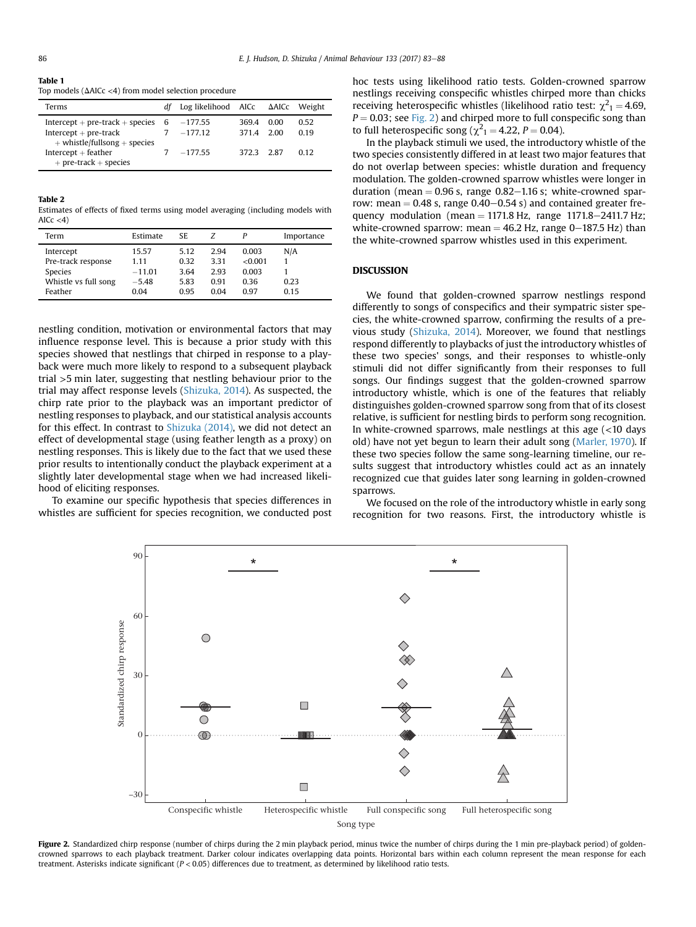#### <span id="page-3-0"></span>Table 1

Top models ( $\Delta$ AICc <4) from model selection procedure

| Terms                                                                                              | df | Log likelihood $\Delta$ AICc $\Delta$ AICc Weight |                   |        |             |
|----------------------------------------------------------------------------------------------------|----|---------------------------------------------------|-------------------|--------|-------------|
| Intercept + pre-track + species $6$<br>Intercept $+$ pre-track<br>$+$ whistle/fullsong $+$ species |    | $-177.55$<br>$-177.12$                            | 369.4<br>3714 200 | - 0.00 | 0.52<br>019 |
| $Intercept + feature$<br>$+$ pre-track $+$ species                                                 |    | $-177.55$                                         | 3723 287          |        | 0.12        |

#### Table 2

Estimates of effects of fixed terms using model averaging (including models with AIC $c < 4$ )

| Term                 | Estimate | SE.  |      |        | Importance |
|----------------------|----------|------|------|--------|------------|
| Intercept            | 15.57    | 5.12 | 2.94 | 0.003  | N/A        |
| Pre-track response   | 1.11     | 0.32 | 331  | <0.001 |            |
| Species              | $-11.01$ | 3.64 | 2.93 | 0.003  |            |
| Whistle vs full song | $-5.48$  | 5.83 | O 91 | 0.36   | 0.23       |
| Feather              | 0.04     | 0.95 | 0.04 | በ 97   | 0.15       |

nestling condition, motivation or environmental factors that may influence response level. This is because a prior study with this species showed that nestlings that chirped in response to a playback were much more likely to respond to a subsequent playback trial >5 min later, suggesting that nestling behaviour prior to the trial may affect response levels [\(Shizuka, 2014\)](#page-5-0). As suspected, the chirp rate prior to the playback was an important predictor of nestling responses to playback, and our statistical analysis accounts for this effect. In contrast to [Shizuka \(2014\)](#page-5-0), we did not detect an effect of developmental stage (using feather length as a proxy) on nestling responses. This is likely due to the fact that we used these prior results to intentionally conduct the playback experiment at a slightly later developmental stage when we had increased likelihood of eliciting responses.

To examine our specific hypothesis that species differences in whistles are sufficient for species recognition, we conducted post hoc tests using likelihood ratio tests. Golden-crowned sparrow nestlings receiving conspecific whistles chirped more than chicks receiving heterospecific whistles (likelihood ratio test:  $\chi^2_1 = 4.69$ ,  $P = 0.03$ ; see Fig. 2) and chirped more to full conspecific song than to full heterospecific song ( $\chi^2$ <sub>1</sub> = 4.22, *P* = 0.04).

In the playback stimuli we used, the introductory whistle of the two species consistently differed in at least two major features that do not overlap between species: whistle duration and frequency modulation. The golden-crowned sparrow whistles were longer in duration (mean  $= 0.96$  s, range  $0.82-1.16$  s; white-crowned sparrow: mean  $= 0.48$  s, range 0.40–0.54 s) and contained greater frequency modulation (mean  $= 1171.8$  Hz, range 1171.8-2411.7 Hz; white-crowned sparrow: mean  $=$  46.2 Hz, range 0–187.5 Hz) than the white-crowned sparrow whistles used in this experiment.

# **DISCUSSION**

We found that golden-crowned sparrow nestlings respond differently to songs of conspecifics and their sympatric sister species, the white-crowned sparrow, confirming the results of a previous study ([Shizuka, 2014](#page-5-0)). Moreover, we found that nestlings respond differently to playbacks of just the introductory whistles of these two species' songs, and their responses to whistle-only stimuli did not differ significantly from their responses to full songs. Our findings suggest that the golden-crowned sparrow introductory whistle, which is one of the features that reliably distinguishes golden-crowned sparrow song from that of its closest relative, is sufficient for nestling birds to perform song recognition. In white-crowned sparrows, male nestlings at this age  $\left($  <10 days old) have not yet begun to learn their adult song [\(Marler, 1970](#page-5-0)). If these two species follow the same song-learning timeline, our results suggest that introductory whistles could act as an innately recognized cue that guides later song learning in golden-crowned sparrows.

We focused on the role of the introductory whistle in early song recognition for two reasons. First, the introductory whistle is



Figure 2. Standardized chirp response (number of chirps during the 2 min playback period, minus twice the number of chirps during the 1 min pre-playback period) of goldencrowned sparrows to each playback treatment. Darker colour indicates overlapping data points. Horizontal bars within each column represent the mean response for each treatment. Asterisks indicate significant (P < 0.05) differences due to treatment, as determined by likelihood ratio tests.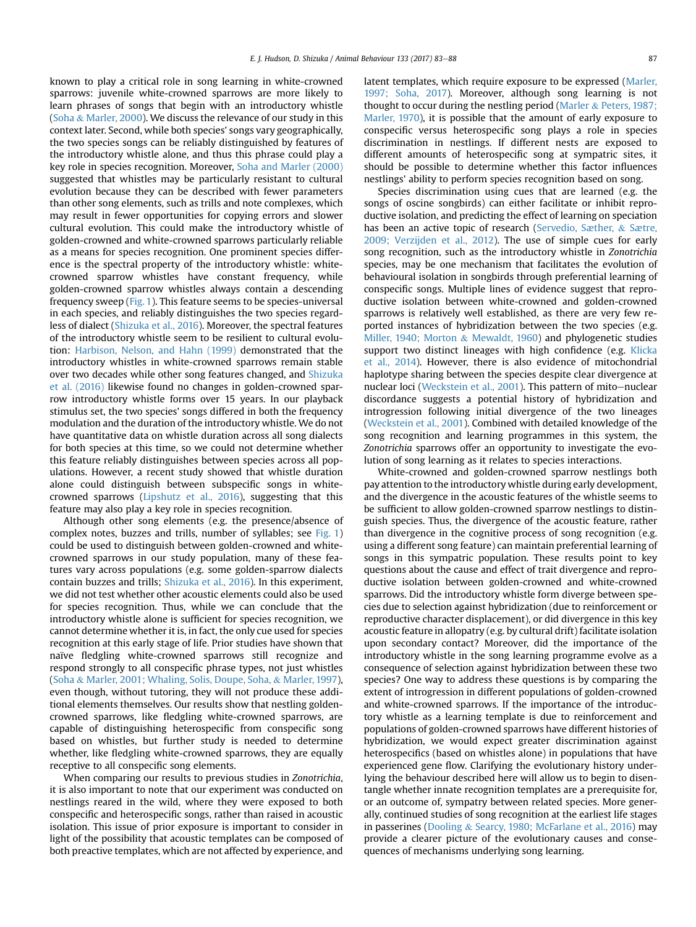known to play a critical role in song learning in white-crowned sparrows: juvenile white-crowned sparrows are more likely to learn phrases of songs that begin with an introductory whistle ([Soha](#page-5-0) & [Marler, 2000\)](#page-5-0). We discuss the relevance of our study in this context later. Second, while both species' songs vary geographically, the two species songs can be reliably distinguished by features of the introductory whistle alone, and thus this phrase could play a key role in species recognition. Moreover, [Soha and Marler \(2000\)](#page-5-0) suggested that whistles may be particularly resistant to cultural evolution because they can be described with fewer parameters than other song elements, such as trills and note complexes, which may result in fewer opportunities for copying errors and slower cultural evolution. This could make the introductory whistle of golden-crowned and white-crowned sparrows particularly reliable as a means for species recognition. One prominent species difference is the spectral property of the introductory whistle: whitecrowned sparrow whistles have constant frequency, while golden-crowned sparrow whistles always contain a descending frequency sweep ([Fig. 1\)](#page-2-0). This feature seems to be species-universal in each species, and reliably distinguishes the two species regardless of dialect [\(Shizuka et al., 2016\)](#page-5-0). Moreover, the spectral features of the introductory whistle seem to be resilient to cultural evolution: [Harbison, Nelson, and Hahn \(1999\)](#page-5-0) demonstrated that the introductory whistles in white-crowned sparrows remain stable over two decades while other song features changed, and [Shizuka](#page-5-0) [et al. \(2016\)](#page-5-0) likewise found no changes in golden-crowned sparrow introductory whistle forms over 15 years. In our playback stimulus set, the two species' songs differed in both the frequency modulation and the duration of the introductory whistle. We do not have quantitative data on whistle duration across all song dialects for both species at this time, so we could not determine whether this feature reliably distinguishes between species across all populations. However, a recent study showed that whistle duration alone could distinguish between subspecific songs in whitecrowned sparrows ([Lipshutz et al., 2016\)](#page-5-0), suggesting that this feature may also play a key role in species recognition.

Although other song elements (e.g. the presence/absence of complex notes, buzzes and trills, number of syllables; see [Fig. 1\)](#page-2-0) could be used to distinguish between golden-crowned and whitecrowned sparrows in our study population, many of these features vary across populations (e.g. some golden-sparrow dialects contain buzzes and trills; [Shizuka et al., 2016\)](#page-5-0). In this experiment, we did not test whether other acoustic elements could also be used for species recognition. Thus, while we can conclude that the introductory whistle alone is sufficient for species recognition, we cannot determine whether it is, in fact, the only cue used for species recognition at this early stage of life. Prior studies have shown that naïve fledgling white-crowned sparrows still recognize and respond strongly to all conspecific phrase types, not just whistles ([Soha](#page-5-0) & [Marler, 2001; Whaling, Solis, Doupe, Soha,](#page-5-0) & [Marler, 1997\)](#page-5-0), even though, without tutoring, they will not produce these additional elements themselves. Our results show that nestling goldencrowned sparrows, like fledgling white-crowned sparrows, are capable of distinguishing heterospecific from conspecific song based on whistles, but further study is needed to determine whether, like fledgling white-crowned sparrows, they are equally receptive to all conspecific song elements.

When comparing our results to previous studies in Zonotrichia, it is also important to note that our experiment was conducted on nestlings reared in the wild, where they were exposed to both conspecific and heterospecific songs, rather than raised in acoustic isolation. This issue of prior exposure is important to consider in light of the possibility that acoustic templates can be composed of both preactive templates, which are not affected by experience, and

latent templates, which require exposure to be expressed ([Marler,](#page-5-0) [1997; Soha, 2017\)](#page-5-0). Moreover, although song learning is not thought to occur during the nestling period [\(Marler](#page-5-0) & [Peters, 1987;](#page-5-0) [Marler, 1970](#page-5-0)), it is possible that the amount of early exposure to conspecific versus heterospecific song plays a role in species discrimination in nestlings. If different nests are exposed to different amounts of heterospecific song at sympatric sites, it should be possible to determine whether this factor influences nestlings' ability to perform species recognition based on song.

Species discrimination using cues that are learned (e.g. the songs of oscine songbirds) can either facilitate or inhibit reproductive isolation, and predicting the effect of learning on speciation has been an active topic of research ([Servedio, Sæther,](#page-5-0) & [Sætre,](#page-5-0) [2009; Verzijden et al., 2012\)](#page-5-0). The use of simple cues for early song recognition, such as the introductory whistle in Zonotrichia species, may be one mechanism that facilitates the evolution of behavioural isolation in songbirds through preferential learning of conspecific songs. Multiple lines of evidence suggest that reproductive isolation between white-crowned and golden-crowned sparrows is relatively well established, as there are very few reported instances of hybridization between the two species (e.g. [Miller, 1940; Morton](#page-5-0) & [Mewaldt, 1960](#page-5-0)) and phylogenetic studies support two distinct lineages with high confidence (e.g. [Klicka](#page-5-0) [et al., 2014](#page-5-0)). However, there is also evidence of mitochondrial haplotype sharing between the species despite clear divergence at nuclear loci [\(Weckstein et al., 2001\)](#page-5-0). This pattern of mito-nuclear discordance suggests a potential history of hybridization and introgression following initial divergence of the two lineages ([Weckstein et al., 2001](#page-5-0)). Combined with detailed knowledge of the song recognition and learning programmes in this system, the Zonotrichia sparrows offer an opportunity to investigate the evolution of song learning as it relates to species interactions.

White-crowned and golden-crowned sparrow nestlings both pay attention to the introductory whistle during early development, and the divergence in the acoustic features of the whistle seems to be sufficient to allow golden-crowned sparrow nestlings to distinguish species. Thus, the divergence of the acoustic feature, rather than divergence in the cognitive process of song recognition (e.g. using a different song feature) can maintain preferential learning of songs in this sympatric population. These results point to key questions about the cause and effect of trait divergence and reproductive isolation between golden-crowned and white-crowned sparrows. Did the introductory whistle form diverge between species due to selection against hybridization (due to reinforcement or reproductive character displacement), or did divergence in this key acoustic feature in allopatry (e.g. by cultural drift) facilitate isolation upon secondary contact? Moreover, did the importance of the introductory whistle in the song learning programme evolve as a consequence of selection against hybridization between these two species? One way to address these questions is by comparing the extent of introgression in different populations of golden-crowned and white-crowned sparrows. If the importance of the introductory whistle as a learning template is due to reinforcement and populations of golden-crowned sparrows have different histories of hybridization, we would expect greater discrimination against heterospecifics (based on whistles alone) in populations that have experienced gene flow. Clarifying the evolutionary history underlying the behaviour described here will allow us to begin to disentangle whether innate recognition templates are a prerequisite for, or an outcome of, sympatry between related species. More generally, continued studies of song recognition at the earliest life stages in passerines [\(Dooling](#page-5-0) & [Searcy, 1980; McFarlane et al., 2016\)](#page-5-0) may provide a clearer picture of the evolutionary causes and consequences of mechanisms underlying song learning.